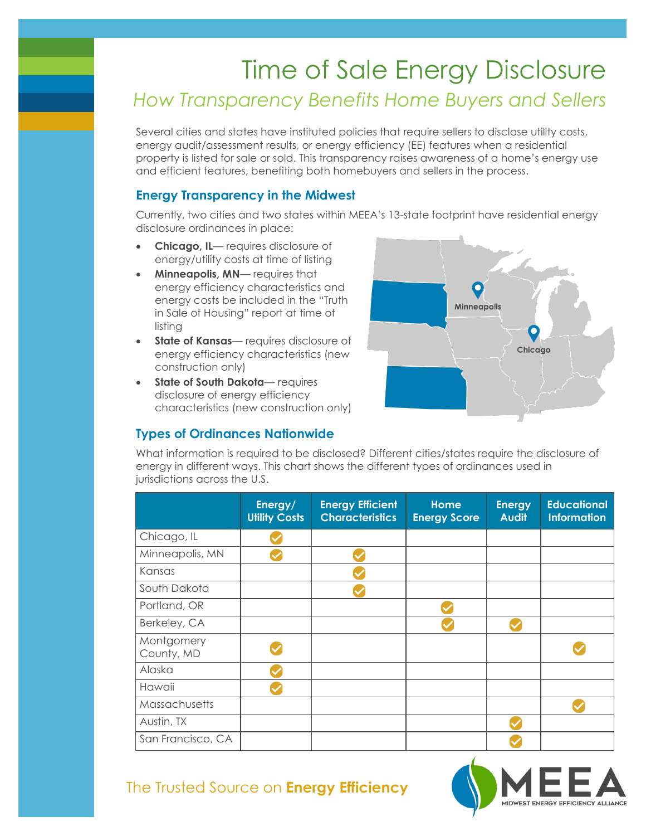# Time of Sale Energy Disclosure *How Transparency Benefits Home Buyers and Sellers*

Several cities and states have instituted policies that require sellers to disclose utility costs, energy audit/assessment results, or energy efficiency (EE) features when a residential property is listed for sale or sold. This transparency raises awareness of a home's energy use and efficient features, benefiting both homebuyers and sellers in the process.

### **Energy Transparency in the Midwest**

Currently, two cities and two states within MEEA's 13-state footprint have residential energy disclosure ordinances in place:

- **Chicago, IL** requires disclosure of energy/utility costs at time of listing
- **Minneapolis, MN** requires that energy efficiency characteristics and energy costs be included in the "Truth in Sale of Housing" report at time of listing
- **State of Kansas** requires disclosure of energy efficiency characteristics (new construction only)
- **State of South Dakota** requires disclosure of energy efficiency characteristics (new construction only)

### **Types of Ordinances Nationwide**



What information is required to be disclosed? Different cities/states require the disclosure of energy in different ways. This chart shows the different types of ordinances used in jurisdictions across the U.S.

|                          | Energy/<br><b>Utility Costs</b> | <b>Energy Efficient</b><br><b>Characteristics</b> | Home<br><b>Energy Score</b> | <b>Energy</b><br><b>Audit</b> | <b>Educational</b><br><b>Information</b> |
|--------------------------|---------------------------------|---------------------------------------------------|-----------------------------|-------------------------------|------------------------------------------|
| Chicago, IL              |                                 |                                                   |                             |                               |                                          |
| Minneapolis, MN          |                                 |                                                   |                             |                               |                                          |
| Kansas                   |                                 |                                                   |                             |                               |                                          |
| South Dakota             |                                 |                                                   |                             |                               |                                          |
| Portland, OR             |                                 |                                                   |                             |                               |                                          |
| Berkeley, CA             |                                 |                                                   |                             |                               |                                          |
| Montgomery<br>County, MD |                                 |                                                   |                             |                               |                                          |
| Alaska                   |                                 |                                                   |                             |                               |                                          |
| Hawaii                   |                                 |                                                   |                             |                               |                                          |
| Massachusetts            |                                 |                                                   |                             |                               |                                          |
| Austin, TX               |                                 |                                                   |                             |                               |                                          |
| San Francisco, CA        |                                 |                                                   |                             |                               |                                          |



## The Trusted Source on **Energy Efficiency**